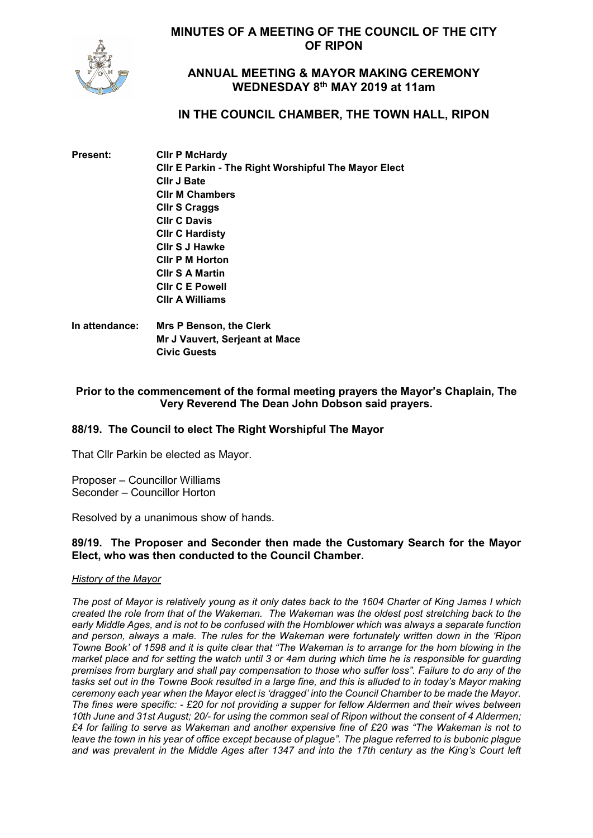**MINUTES OF A MEETING OF THE COUNCIL OF THE CITY OF RIPON**



# **ANNUAL MEETING & MAYOR MAKING CEREMONY WEDNESDAY 8th MAY 2019 at 11am**

# **IN THE COUNCIL CHAMBER, THE TOWN HALL, RIPON**

| Present: | <b>CIIr P McHardy</b>                                |
|----------|------------------------------------------------------|
|          | Clir E Parkin - The Right Worshipful The Mayor Elect |
|          | <b>CIIr J Bate</b>                                   |
|          | <b>CIIr M Chambers</b>                               |
|          | <b>Cllr S Craggs</b>                                 |
|          | <b>CIIr C Davis</b>                                  |
|          | <b>CIIr C Hardisty</b>                               |
|          | CIIr S J Hawke                                       |
|          | <b>CIIr P M Horton</b>                               |
|          | <b>CIIr S A Martin</b>                               |
|          | <b>CIIr C E Powell</b>                               |
|          | <b>CIIr A Williams</b>                               |
|          |                                                      |

**In attendance: Mrs P Benson, the Clerk Mr J Vauvert, Serjeant at Mace Civic Guests**

# **Prior to the commencement of the formal meeting prayers the Mayor's Chaplain, The Very Reverend The Dean John Dobson said prayers.**

# **88/19. The Council to elect The Right Worshipful The Mayor**

That Cllr Parkin be elected as Mayor.

Proposer – Councillor Williams Seconder – Councillor Horton

Resolved by a unanimous show of hands.

### **89/19. The Proposer and Seconder then made the Customary Search for the Mayor Elect, who was then conducted to the Council Chamber.**

#### *History of the Mayor*

*The post of Mayor is relatively young as it only dates back to the 1604 Charter of King James I which created the role from that of the Wakeman. The Wakeman was the oldest post stretching back to the early Middle Ages, and is not to be confused with the Hornblower which was always a separate function and person, always a male. The rules for the Wakeman were fortunately written down in the 'Ripon Towne Book' of 1598 and it is quite clear that "The Wakeman is to arrange for the horn blowing in the market place and for setting the watch until 3 or 4am during which time he is responsible for guarding premises from burglary and shall pay compensation to those who suffer loss". Failure to do any of the tasks set out in the Towne Book resulted in a large fine, and this is alluded to in today's Mayor making ceremony each year when the Mayor elect is 'dragged' into the Council Chamber to be made the Mayor. The fines were specific: - £20 for not providing a supper for fellow Aldermen and their wives between 10th June and 31st August; 20/- for using the common seal of Ripon without the consent of 4 Aldermen; £4 for failing to serve as Wakeman and another expensive fine of £20 was "The Wakeman is not to leave the town in his year of office except because of plague". The plague referred to is bubonic plague*  and was prevalent in the Middle Ages after 1347 and into the 17th century as the King's Court left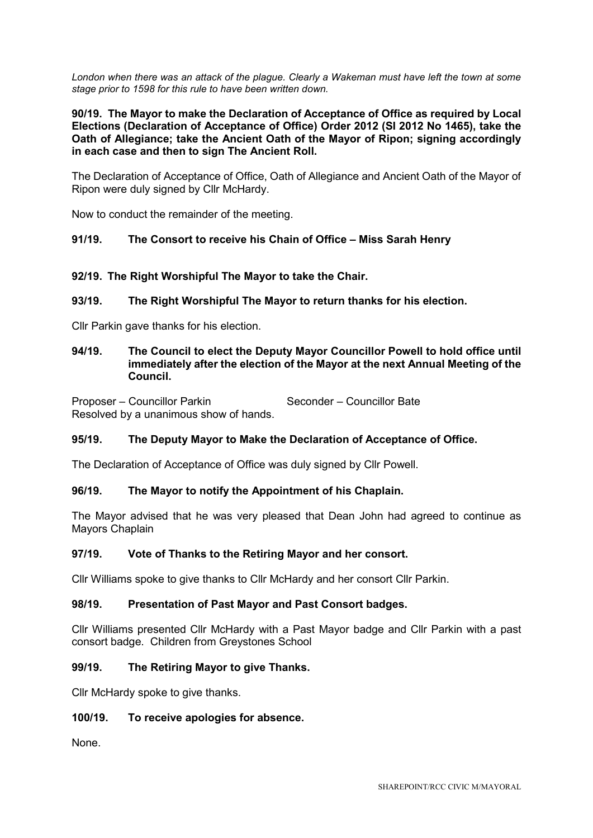*London when there was an attack of the plague. Clearly a Wakeman must have left the town at some stage prior to 1598 for this rule to have been written down.*

**90/19. The Mayor to make the Declaration of Acceptance of Office as required by Local Elections (Declaration of Acceptance of Office) Order 2012 (SI 2012 No 1465), take the Oath of Allegiance; take the Ancient Oath of the Mayor of Ripon; signing accordingly in each case and then to sign The Ancient Roll.**

The Declaration of Acceptance of Office, Oath of Allegiance and Ancient Oath of the Mayor of Ripon were duly signed by Cllr McHardy.

Now to conduct the remainder of the meeting.

# **91/19. The Consort to receive his Chain of Office – Miss Sarah Henry**

### **92/19. The Right Worshipful The Mayor to take the Chair.**

### **93/19. The Right Worshipful The Mayor to return thanks for his election.**

Cllr Parkin gave thanks for his election.

### **94/19. The Council to elect the Deputy Mayor Councillor Powell to hold office until immediately after the election of the Mayor at the next Annual Meeting of the Council.**

Proposer – Councillor Parkin Seconder – Councillor Bate Resolved by a unanimous show of hands.

# **95/19. The Deputy Mayor to Make the Declaration of Acceptance of Office.**

The Declaration of Acceptance of Office was duly signed by Cllr Powell.

#### **96/19. The Mayor to notify the Appointment of his Chaplain.**

The Mayor advised that he was very pleased that Dean John had agreed to continue as Mayors Chaplain

#### **97/19. Vote of Thanks to the Retiring Mayor and her consort.**

Cllr Williams spoke to give thanks to Cllr McHardy and her consort Cllr Parkin.

## **98/19. Presentation of Past Mayor and Past Consort badges.**

Cllr Williams presented Cllr McHardy with a Past Mayor badge and Cllr Parkin with a past consort badge. Children from Greystones School

#### **99/19. The Retiring Mayor to give Thanks.**

Cllr McHardy spoke to give thanks.

#### **100/19. To receive apologies for absence.**

None.